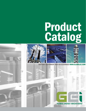# **Product**<br>Catalog



**BATTERY EQUIPMENT AND ACCESSORIES WWW.GLOBALEI.COM** 



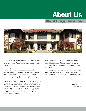## About Us

#### Global Energy Innovations



Global Energy Innovations develops and manufactures precision battery test, monitoring and conditioning equipment and software for the stored energy and electrochemical test and measurement markets.

Located in Santa Clara, California, the core technology team at Global Energy Innovations are electrochemists, electronics designers, design engineers and enterprise software engineers with years of experience in commercializing electrochemical diagnostic and monitoring systems – batteries, sensors, power systems, as well as electrochemical materials development.

The EC-Series™ Handheld ElectroChemical Battery Analyzers and CM-Series™ Continuous Monitoring Systems use CELScan® (Chemical Electrical Layer Scan) algorithms for accurately accessing the health of battery and battery systems. IBMS™ (Intelligent Battery Management System™) battery inventory management enterprise software is used for both presenting the EC-Series™ and CM-Series™ test results and accurately and efficiently managing your battery infrastructure.

Global Energy Innovations' products are used worldwide by mobile telecommunication operators, power generation plants and utilities, uninterrupted power systems operators, automobile manufacturers, industrial battery manufactures and many other battery users.

All of our products are designed and manufactured entirely in the United States of America. We have representatives located globally with trained technical support engineers to assist you with all of our products.

> President and CEO *Kurt Salloux*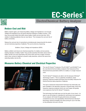## EC-Series

#### ElectroChemical Battery Analyzer



#### *Reduce Cost and Risk*

Battery experts agree, just measuring battery voltage and impedance is not enough. Voltage and impedance are only gross electrical indicators of battery function. Plus, they only provide limited information about battery health and are less than 100% reliable in detecting batteries that are near failure. This increases the cost and risk of battery ownership.

Reduce the cost and risk of ownership by simultaneously measuring both the electrical and chemical properties of batteries. This can be done by measuring:

Sulfation, Dryout, Voltage and Impedance (SDVI)

Battery sulfation and dryout are chemical properties of a battery and are precise, leading indicators of battery health. They provide essential information about when a battery will fail, but more importantly, they show when and how to apply corrective action when caring for batteries to prevent costly downtime, while at the same time extending battery service life.



#### *Measures Battery Chemical and Electrical Properties*



The new EC-Series™ Analyzers (The EC1000™ and EC2000™) are the only ElectroChemical battery analyzers that measures all four ElectroChemical parameters (SDVI) of a battery in a single measurement.

The EC-Series™ Analyzers are able to do this because CELScan® Technology is built in. This is a patented, broadband, swept frequency response analysis technique that accurately measures the ElectroChemical state properties of batteries.

This type of advanced measurement technique has historically only been available in the laboratory because it required large, bench-top, frequency response analyzers which are much larger and greatly more expensive that the EC-Series™ Analyzers.

This technology has finally been put into the palm of your hand. It is easy to use and simple to understand for technicians and engineers. It's an analyzer with break-through performance and speed, unmatched accuracy and repeatability, ElectroChemical CELScan® technology, extreme portability and value pricing for use in the field, on the production line and in the lab.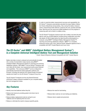

In order to maximize better measurement accuracy and repeatability, the EC-Series™ Analyzers automatically calculate the proper Battery Calibration Factors (Baselines) during testing. Also, during the battery measurements, measurement limits (Alarms), preset by the user, provide automatic Pass, Warning and Fail visual and audible feedback as to the progress in measuring each cell or block in a battery string.

The EC-Series™ Analyzers measure each cell or battery and store the test data for well over 50,000 batteries including string configuration and other site details (16 GB of data) before the data should be downloaded to a computer using IBMS™ (Intelligent Battery Management System™) reporting and archiving (database) software. IBMS™ is a complete, enterprise solution with a free, optional Oracle® database appliance that is compatible with SAP® Crystal Reports and much more.

#### *The EC-Series™ and IBMS™ (Intelligent Battery Management System™) is a Complete Universal Intelligent Battery Test and Management Solution*

*Oracle® Based Enterprise Software Compatible with SAP® Crystal Reports*

Battery test data is stored, analyzed and automatically formatted into a variety of presentation-ready reports using IBMS™ (Intelligent Battery Management System™) reporting and archiving (database) software. With IBMS™, the EC-Series™ Analyzers stay up to date with the latest, new measurement performance features and capabilities. This is because IBMS™ can be configured to automatically download the latest application software and firmware, including new features from Global Energy Innovations' website and install it on the EC-Series™ Analyzer at any time.

The EC-Series™ Analyzers are the only ElectroChemical (CELScan®) battery analyzers available for your complete battery test and management needs.

#### *Key Features*

- Identify more bad batteries before they fail.
- Reduce lost revenue by avoiding system shut down due to battery failures.
- Reduce battery replacement costs by caring for your batteries and not replacing them too soon.
- Reduce or eliminate the need to measure specific gravity.
- Reduce the need for load testing.
- Reduce labor costs by not over testing your batteries.
- Reduce risks to capital and personnel.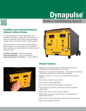## Battery Conditioning System **Dynapulse**®



#### *Eliminate Sulfation Buildup Condition your Lead Acid Batteries*

The patented Dynapulse® 1224 and 3648 Systems both conditions and charges your battery while removing sulfation buildup. The Dynapulse® system safely and quickly eliminates sulfation using our low-frequency battery conditioning method.

When the Dynapulse® is used with our EC-Series Handheld Battery Analyzers, you can accurately monitor the degree of battery desulfation and conditioning before and after running the Dynapulse® system.

**Dynapulse 1224 System** −12 and 24 Volt Batteries **Dynapulse 3648 System** − 36 and 48 Volt Batteries **Dynapulse 248 System (3 and 6 kW)** − 2 to 48 Volt Batteries





#### *Product Features*

- High-impact, low-frequency pulses up to 250 amps quickly break up crystallized sulfate to restore batteries to full service.
- Selectable for 12, 24, 38 and 48 Volt batteries. 24 Volt position with automatic pulse reduction designed for in-vehicle battery conditioning.
- Selection for small (30 60 Amp Hour) and Large (Above 60 Amp Hour) Batteries.
- Simple intuitive controls for easy operation.
- LED indicator for highly sulfated battery.
- Short Circuit and Reverse Polarity detection and protection.
- Robust, heavy-duty construction, portable and ergonomic handle with rugged wheels.
- Reduce labor costs by not over testing your batteries.
- Reduce battery replacement costs by caring for your batteries and not replacing them too soon.
- Reduce lost revenue by avoiding system shut down due to battery failures.
- Reduce risks to capital and personnel.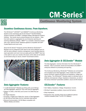## CM-Series



### Continuous Monitoring System

#### *Seamless Continuous Access. From Anywhere.*

The CM-Series™ (CM1000™ and CM2000™) Continuous Monitoring Systems works seamlessly with the EC-Series™ Handheld Battery Analyzer hardware and IBMS™ (Intelligent Battery Management System) Software. Test results may be shared between the two systems – Data from both systems is aggregated into one Enterprise reporting and archiving (database) software. IBMS™ is a complete, enterprise solution with a free, optional Oracle® database appliance compatible with SAP® Crystal Reports and much more.

Since the EC-Series™ Analyzers and the CM-Series CELSender™ Modules can be configured to both report to the same database and run with the same software, inventory management, event handling (alarms), report generation and much more are easily performed. IBMS™ also has a free option to sync your results to the Cloud, where data can be backed up and stored using our secure, Oracle® Cloud-based solution.





#### *Data Aggregator Features*

- 1 to 256 CELSender™ Modules per String with up to 8 Strings per Data Aggregator, Maximum 1024 cells total per Aggregator.
- Voltage: 0 to 900 (± 450 VDC) and Current: 0 to 2500 Amp per String.
- AC Ripple Detection.
- 16 Analog, 4 Digital and 4 Relay Aux. Inputs on Data Aggregator.
- 30 GB Internal Solid State Drive for redundant data backup.
- Ethernet Communication (10/100 Mbps) compatible with RS232, Modbus and others.

#### *Data Aggregator & CELSender™ Module*

The Data Aggregator, receives information from the CELSender™ Modules. Data is processed, stored and transmitted to the IBMS™ enterprise software for processing and reporting.

The Continuous Monitoring, CELSender™ Modules are commanded and controlled by the Data Aggregator, which creates the multifrequency CELScan® signals and performs all impedance, voltage and other testing. The CELSender™ Modules attach to individual cells or batteries and measures voltage, impedance, temperature, as well as the various CELScan® parameters (sulfation, dryout and life fraction).

#### *CELSender™ Features*

- Cell / Battery: Impedance, Voltage, Temperature, Current.
- CELScan® parameters (sulfation, dryout and life fraction).
- Strap Impedance.
- Temperature: Pos. and Neg. Strap plus 6 additional optional locations available (Cells 1 to 6 for 12 V Battery).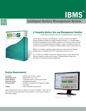



#### Intelligent Battery Management System



#### *A Complete Battery Test and Management Solution*

*Oracle® Based Enterprise Software Compatible with SAP® Crystal Reports*

The EC-Series™ Analyzers and CM-Series™ Systems, combined with IBMS™ (Intelligent Battery Management System) Enterprise Software, is a complete battery testing and management solution. IBMS<sup>™</sup> enables you to review your entire inventory at a glance and immediately identify bad batteries or cells, sort batteries by date and view any test parameter. (All, Impedance, Voltage, Sulfation, Dryout, Temperature, etc.).

IBMS™ is a complete, enterprise solution with a free, optional Oracle® database appliance that is compatible with SAP® Crystal Reports and much more.

For a complete list of IBMS™ and Oracle® database features, please reference the Software Feature List and/or the EC-Series™ Handheld Battery Analyzer and CM-Series™ Continuous Monitoring Datasheets.

#### *System Requirements*

**Processor: Intel Pentium 2.7 GHz or Similar Operating System:** Windows XP, Vista, 7 or 8 **System Memory:** 2 GB RAM minimum (4 GB recommended) **Hard Drive Space:** 200 GB Recommended **Communication:** CD/DVD for Installation (Not required for Digital Download) **Display:** 1600 x 900 pixels recommended

*System Requirements are for a Laptop or PC used to run IBMS™. Hard drive size requirements will vary depending on users selection of Cloud-based storage or local option settings.*

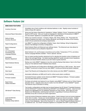#### *Software Feature List*

| <b>IBMS MAIN FEATURES</b>                                  |                                                                                                                                                                                                                                                                                                                                                                                                                                                                                                      |
|------------------------------------------------------------|------------------------------------------------------------------------------------------------------------------------------------------------------------------------------------------------------------------------------------------------------------------------------------------------------------------------------------------------------------------------------------------------------------------------------------------------------------------------------------------------------|
| <b>Inventory Overview</b>                                  | Immediate view of fault conditions with individual batteries or cells. Rapidly review hundreds of<br>battery strings with a glance.                                                                                                                                                                                                                                                                                                                                                                  |
| <b>Advanced Report Generation</b>                          | String and Cell History Reporting for Impedance, Voltage, Sulfation, Dryout, Temperature and Other.<br>Export to PDF format. View your results as Impedance or Admittance (Conductance) in IBMS™.<br>Our free Oracle® Appliance is compatible with SAP® Crystal Reports.                                                                                                                                                                                                                             |
| Define & Setup<br><b>Inventory Structure</b>               | Define your inventory structure - Company, Region, Site, String, Battery, Cell. Personalize the<br>naming of batteries and cells to your industry standards, and change the names of the inventory<br>levels to fit your personal and company requirements.                                                                                                                                                                                                                                          |
| <b>Rapid Configurations</b>                                | Use IBMS™ to setup the configuration of Battery Types, Alarm Settings, String Configurations<br>General Test Settings & Inventory Configurations.                                                                                                                                                                                                                                                                                                                                                    |
| Basic & Advanced<br>Views                                  | Select between Basic and Advanced user settings (views). The Advanced user view allows for<br>advanced functions such as Baseline Adjustment.                                                                                                                                                                                                                                                                                                                                                        |
| U.S. & European<br>Conventions and<br>Language Modules     | Select between U.S. and European conventions such as Date, Temperature (°F/°C), and others.<br>Various Language Modules available - French, Spanish, German.                                                                                                                                                                                                                                                                                                                                         |
| Automated<br><b>Baseline Adjustment</b>                    | Use our patent pending baseline adjustment tool for adjusting the baseline values of batteries and<br>cells in new and aged strings. Our patent pending algorithms rapidly calculate correct impedance,<br>sulfation and dryout baseline values so you don't have to guess anymore.                                                                                                                                                                                                                  |
| Rapid Database Backup                                      | Backup your entire IBMS™ database at any time using the Backup Data feature. Sync to the Cloud<br>using our Free Optional Oracle® Database Sync feature.                                                                                                                                                                                                                                                                                                                                             |
| Data Export                                                | Export Test Results and Configurations effortlessly to Microsoft Excel or XML formats. Also export<br>in IBMS™ format and re-import into any other IBMS™ Continuous Monitoring System database.                                                                                                                                                                                                                                                                                                      |
| Data Import                                                | Import Test Results and Configurations from other devices and other IBMS™ installations.                                                                                                                                                                                                                                                                                                                                                                                                             |
| <b>Event Handling</b>                                      | Automated notifications via SMS and E-mail for critical events (alarm conditions).                                                                                                                                                                                                                                                                                                                                                                                                                   |
| <b>Firmware Updates</b>                                    | Automated firmware updates via the internet and IBMS™ Enterprise Software. Firmware updates<br>carry the latest features for your System.                                                                                                                                                                                                                                                                                                                                                            |
| Rapid Online<br><b>Feature Activation</b>                  | Purchase and activate new features for your System using IBMS™ Software and our Online Feature<br>Activation Server. Upgrade at the click of a button from the CM1000™ to the CM2000™ System.<br>Trial features may be activated for testing.                                                                                                                                                                                                                                                        |
| CM-Series™ Data Sharing                                    | Test results, configurations and data may be shared between the EC-Series™ Handheld Analyzers<br>and the CM-Series™ Continuous Monitoring (CM1000™ and CM2000™) Systems. Data from both<br>systems are aggregated into one database (repository) for easy access. Since data from both<br>Systems are interoperable, switching back and forth or upgrading to Continuous Monitoring is<br>seamless at any site or across your entire organization.                                                   |
| Local and Remote<br>(Enterprise)<br>Database Setup Options | Local and remote (Enterprise) database setup options. Switch between local and remote database<br>at the click of a button. Access your remote database through any internet connection. Multiple<br>users may access the same database simultaneously. Users may setup and configure multiple<br>remote or local databases. Sync to the Cloud and / or use our Oracle®-based Enterprise feature at<br>no additional cost. Our Oracle® Enterprise Appliance is compatible with SAP® Crystal Reports. |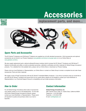## Accessories



#### replacement parts, and more...



#### *Spare Parts and Accessories*

The EC-Series™ Analyzers and CM-Series™ Systems are supplied as a kit with standard accessories. All kit accessories and optional accessories can be found in our Product Catalog at www.globalei.com/where-to-buy/gei-sales or on our Online Store at www.globalei.com/bms.

We also supply replacement parts, optional software/firmware modules (which increase the EC-Series™ Analyzers and CM-Series™ Systems functionality and utility), as well as extended warranties, calibration certificates and other materials for Global Energy Innovations' products. For a detailed list of all available items, please visit our Online Store or download our Product Catalog.

Please visit your local Distributor or Representative, our Online Store or contact our Sales Group to review a complete list and order these Accessories, Parts and other materials.

We supply a host of Fluke® accessories with the EC-Series™ Handheld Battery Analyzers. If you find an accessory that you would like to use with the EC-Series™ Analyzer and cannot find it at our Online Store, please do not hesitate to contact your local Distributor or Representative or our Technical Support Group for compatibility and up-to-date accessory information.

#### *How to Order*

For all Global Energy Innovations direct sales of accessories only, please contact us at our US Headquarters. For the sale off all other Global Energy Innovations' products, please contact your local Distributor or Representative. Please send all requests for quotes and purchase orders via e-mail or facsimile.

#### *Contact Information*

#### **Global Energy Innovations, Inc.**

2901 Tasman Drive, Suite 111, Santa Clara, California 95054 Telephone: +1.415.354.5688 Facsimile: +1.415.354.5738 E-mail: mail@globalei.com